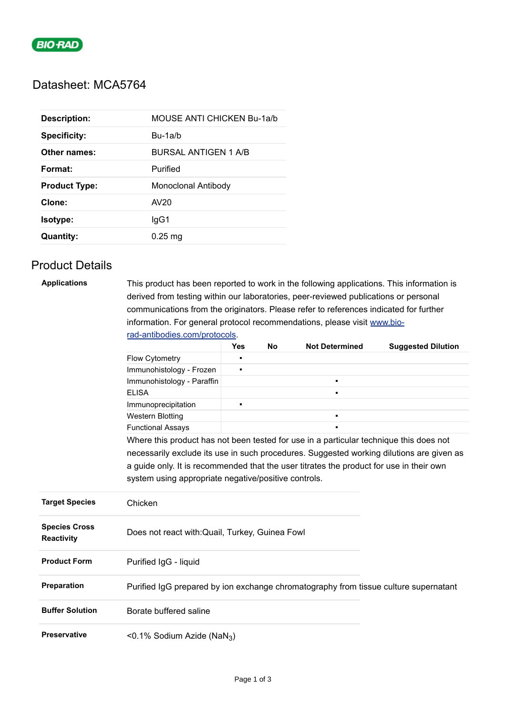

## Datasheet: MCA5764

| <b>Description:</b>  | MOUSE ANTI CHICKEN Bu-1a/b  |
|----------------------|-----------------------------|
| <b>Specificity:</b>  | $Bu-1a/b$                   |
| Other names:         | <b>BURSAL ANTIGEN 1 A/B</b> |
| Format:              | Purified                    |
| <b>Product Type:</b> | Monoclonal Antibody         |
| Clone:               | AV20                        |
| Isotype:             | lgG1                        |
| <b>Quantity:</b>     | $0.25$ mg                   |

## Product Details

## **Applications** This product has been reported to work in the following applications. This information is derived from testing within our laboratories, peer-reviewed publications or personal communications from the originators. Please refer to references indicated for further information. For general protocol recommendations, please visit [www.bio](https://www.bio-rad-antibodies.com/protocols)rad-antibodies.com/protocols.

|                                    |                                                                                                                                                                                                                                                                                                                                       | <b>Yes</b>     | <b>No</b> | <b>Not Determined</b> | <b>Suggested Dilution</b> |  |  |
|------------------------------------|---------------------------------------------------------------------------------------------------------------------------------------------------------------------------------------------------------------------------------------------------------------------------------------------------------------------------------------|----------------|-----------|-----------------------|---------------------------|--|--|
|                                    | Flow Cytometry                                                                                                                                                                                                                                                                                                                        |                |           |                       |                           |  |  |
|                                    | Immunohistology - Frozen                                                                                                                                                                                                                                                                                                              | ٠              |           |                       |                           |  |  |
|                                    | Immunohistology - Paraffin                                                                                                                                                                                                                                                                                                            |                |           | $\blacksquare$        |                           |  |  |
|                                    | <b>ELISA</b>                                                                                                                                                                                                                                                                                                                          |                |           | $\blacksquare$        |                           |  |  |
|                                    | Immunoprecipitation                                                                                                                                                                                                                                                                                                                   | $\blacksquare$ |           |                       |                           |  |  |
|                                    | <b>Western Blotting</b>                                                                                                                                                                                                                                                                                                               |                |           | $\blacksquare$        |                           |  |  |
|                                    | <b>Functional Assays</b>                                                                                                                                                                                                                                                                                                              |                |           |                       |                           |  |  |
|                                    | Where this product has not been tested for use in a particular technique this does not<br>necessarily exclude its use in such procedures. Suggested working dilutions are given as<br>a guide only. It is recommended that the user titrates the product for use in their own<br>system using appropriate negative/positive controls. |                |           |                       |                           |  |  |
| <b>Target Species</b>              | Chicken                                                                                                                                                                                                                                                                                                                               |                |           |                       |                           |  |  |
| <b>Species Cross</b><br>Reactivity | Does not react with: Quail, Turkey, Guinea Fowl                                                                                                                                                                                                                                                                                       |                |           |                       |                           |  |  |
| <b>Product Form</b>                | Purified IgG - liquid                                                                                                                                                                                                                                                                                                                 |                |           |                       |                           |  |  |
| Preparation                        | Purified IgG prepared by ion exchange chromatography from tissue culture supernatant                                                                                                                                                                                                                                                  |                |           |                       |                           |  |  |
| <b>Buffer Solution</b>             | Borate buffered saline                                                                                                                                                                                                                                                                                                                |                |           |                       |                           |  |  |
| Preservative                       | <0.1% Sodium Azide (NaN <sub>3</sub> )                                                                                                                                                                                                                                                                                                |                |           |                       |                           |  |  |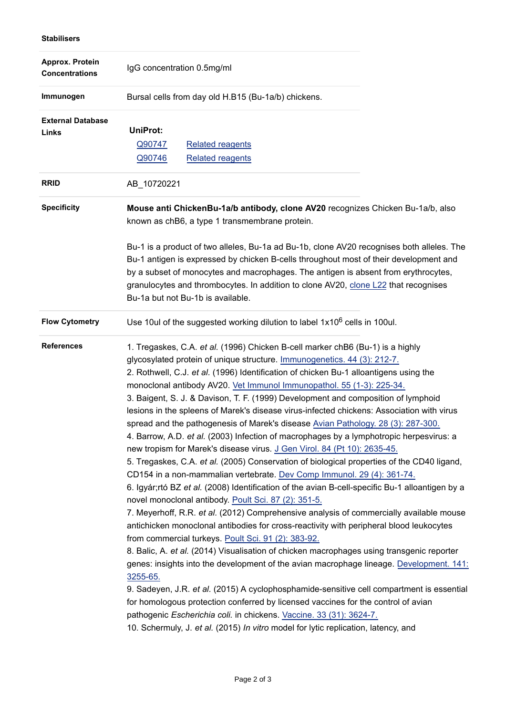#### **Stabilisers**

| Approx. Protein                   | IgG concentration 0.5mg/ml                                                                                                                                                                                                                                                                                                                                                                                                                                                                                                                                                                                                                                                                                                                                                                                                                                                                                                                                                                                                                                                                                                                                                                                                                                                                                                                                                                                                                                                                                                                                                                                                                                                                                                                                                                                                                                                                                  |  |  |  |
|-----------------------------------|-------------------------------------------------------------------------------------------------------------------------------------------------------------------------------------------------------------------------------------------------------------------------------------------------------------------------------------------------------------------------------------------------------------------------------------------------------------------------------------------------------------------------------------------------------------------------------------------------------------------------------------------------------------------------------------------------------------------------------------------------------------------------------------------------------------------------------------------------------------------------------------------------------------------------------------------------------------------------------------------------------------------------------------------------------------------------------------------------------------------------------------------------------------------------------------------------------------------------------------------------------------------------------------------------------------------------------------------------------------------------------------------------------------------------------------------------------------------------------------------------------------------------------------------------------------------------------------------------------------------------------------------------------------------------------------------------------------------------------------------------------------------------------------------------------------------------------------------------------------------------------------------------------------|--|--|--|
| <b>Concentrations</b>             |                                                                                                                                                                                                                                                                                                                                                                                                                                                                                                                                                                                                                                                                                                                                                                                                                                                                                                                                                                                                                                                                                                                                                                                                                                                                                                                                                                                                                                                                                                                                                                                                                                                                                                                                                                                                                                                                                                             |  |  |  |
| Immunogen                         | Bursal cells from day old H.B15 (Bu-1a/b) chickens.                                                                                                                                                                                                                                                                                                                                                                                                                                                                                                                                                                                                                                                                                                                                                                                                                                                                                                                                                                                                                                                                                                                                                                                                                                                                                                                                                                                                                                                                                                                                                                                                                                                                                                                                                                                                                                                         |  |  |  |
| <b>External Database</b><br>Links | <b>UniProt:</b><br><b>Related reagents</b><br>Q90747<br>Q90746<br><b>Related reagents</b>                                                                                                                                                                                                                                                                                                                                                                                                                                                                                                                                                                                                                                                                                                                                                                                                                                                                                                                                                                                                                                                                                                                                                                                                                                                                                                                                                                                                                                                                                                                                                                                                                                                                                                                                                                                                                   |  |  |  |
| <b>RRID</b>                       | AB_10720221                                                                                                                                                                                                                                                                                                                                                                                                                                                                                                                                                                                                                                                                                                                                                                                                                                                                                                                                                                                                                                                                                                                                                                                                                                                                                                                                                                                                                                                                                                                                                                                                                                                                                                                                                                                                                                                                                                 |  |  |  |
| <b>Specificity</b>                | Mouse anti ChickenBu-1a/b antibody, clone AV20 recognizes Chicken Bu-1a/b, also<br>known as chB6, a type 1 transmembrane protein.<br>Bu-1 is a product of two alleles, Bu-1a ad Bu-1b, clone AV20 recognises both alleles. The                                                                                                                                                                                                                                                                                                                                                                                                                                                                                                                                                                                                                                                                                                                                                                                                                                                                                                                                                                                                                                                                                                                                                                                                                                                                                                                                                                                                                                                                                                                                                                                                                                                                              |  |  |  |
|                                   | Bu-1 antigen is expressed by chicken B-cells throughout most of their development and<br>by a subset of monocytes and macrophages. The antigen is absent from erythrocytes,<br>granulocytes and thrombocytes. In addition to clone AV20, clone L22 that recognises<br>Bu-1a but not Bu-1b is available.                                                                                                                                                                                                                                                                                                                                                                                                                                                                                                                                                                                                                                                                                                                                                                                                                                                                                                                                                                                                                                                                                                                                                                                                                                                                                                                                                                                                                                                                                                                                                                                                     |  |  |  |
| <b>Flow Cytometry</b>             | Use 10ul of the suggested working dilution to label $1x10^6$ cells in 100ul.                                                                                                                                                                                                                                                                                                                                                                                                                                                                                                                                                                                                                                                                                                                                                                                                                                                                                                                                                                                                                                                                                                                                                                                                                                                                                                                                                                                                                                                                                                                                                                                                                                                                                                                                                                                                                                |  |  |  |
| <b>References</b>                 | 1. Tregaskes, C.A. et al. (1996) Chicken B-cell marker chB6 (Bu-1) is a highly<br>glycosylated protein of unique structure. Immunogenetics. 44 (3): 212-7.<br>2. Rothwell, C.J. et al. (1996) Identification of chicken Bu-1 alloantigens using the<br>monoclonal antibody AV20. Vet Immunol Immunopathol. 55 (1-3): 225-34.<br>3. Baigent, S. J. & Davison, T. F. (1999) Development and composition of lymphoid<br>lesions in the spleens of Marek's disease virus-infected chickens: Association with virus<br>spread and the pathogenesis of Marek's disease Avian Pathology. 28 (3): 287-300.<br>4. Barrow, A.D. et al. (2003) Infection of macrophages by a lymphotropic herpesvirus: a<br>new tropism for Marek's disease virus. J Gen Virol. 84 (Pt 10): 2635-45.<br>5. Tregaskes, C.A. et al. (2005) Conservation of biological properties of the CD40 ligand,<br>CD154 in a non-mammalian vertebrate. Dev Comp Immunol. 29 (4): 361-74.<br>6. Igyár;rtó BZ et al. (2008) Identification of the avian B-cell-specific Bu-1 alloantigen by a<br>novel monoclonal antibody. Poult Sci. 87 (2): 351-5.<br>7. Meyerhoff, R.R. et al. (2012) Comprehensive analysis of commercially available mouse<br>antichicken monoclonal antibodies for cross-reactivity with peripheral blood leukocytes<br>from commercial turkeys. Poult Sci. 91 (2): 383-92.<br>8. Balic, A. et al. (2014) Visualisation of chicken macrophages using transgenic reporter<br>genes: insights into the development of the avian macrophage lineage. Development. 141<br>3255-65.<br>9. Sadeyen, J.R. et al. (2015) A cyclophosphamide-sensitive cell compartment is essential<br>for homologous protection conferred by licensed vaccines for the control of avian<br>pathogenic Escherichia coli. in chickens. Vaccine. 33 (31): 3624-7.<br>10. Schermuly, J. et al. (2015) In vitro model for lytic replication, latency, and |  |  |  |